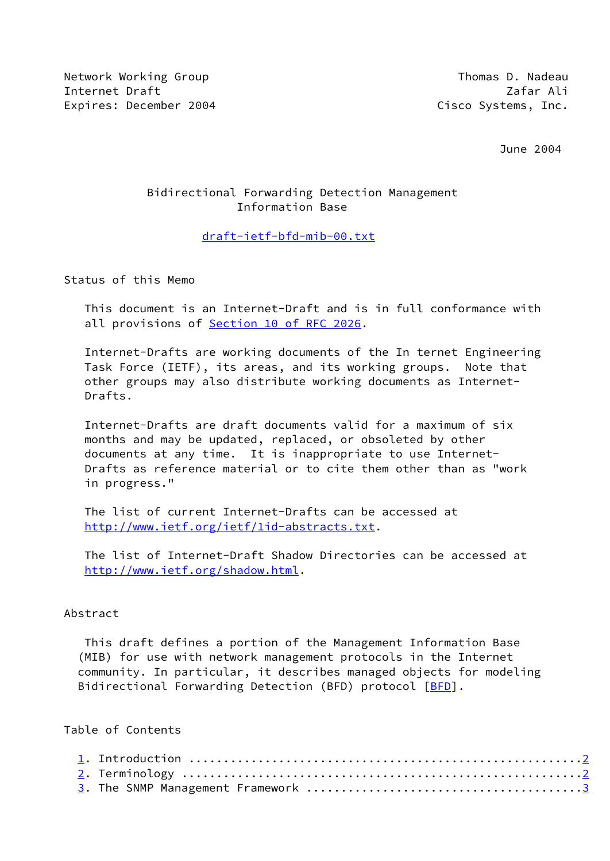Network Working Group Thomas D. Nadeau Internet Draft Zafar Ali Expires: December 2004 **Constant Constructs** Cisco Systems, Inc.

June 2004

# Bidirectional Forwarding Detection Management Information Base

#### [draft-ietf-bfd-mib-00.txt](https://datatracker.ietf.org/doc/pdf/draft-ietf-bfd-mib-00.txt)

Status of this Memo

 This document is an Internet-Draft and is in full conformance with all provisions of Section [10 of RFC 2026](https://datatracker.ietf.org/doc/pdf/rfc2026#section-10).

 Internet-Drafts are working documents of the In ternet Engineering Task Force (IETF), its areas, and its working groups. Note that other groups may also distribute working documents as Internet- Drafts.

 Internet-Drafts are draft documents valid for a maximum of six months and may be updated, replaced, or obsoleted by other documents at any time. It is inappropriate to use Internet- Drafts as reference material or to cite them other than as "work in progress."

 The list of current Internet-Drafts can be accessed at <http://www.ietf.org/ietf/1id-abstracts.txt>.

 The list of Internet-Draft Shadow Directories can be accessed at <http://www.ietf.org/shadow.html>.

#### Abstract

 This draft defines a portion of the Management Information Base (MIB) for use with network management protocols in the Internet community. In particular, it describes managed objects for modeling Bidirectional Forwarding Detection (BFD) protocol [\[BFD](#page-24-0)].

### Table of Contents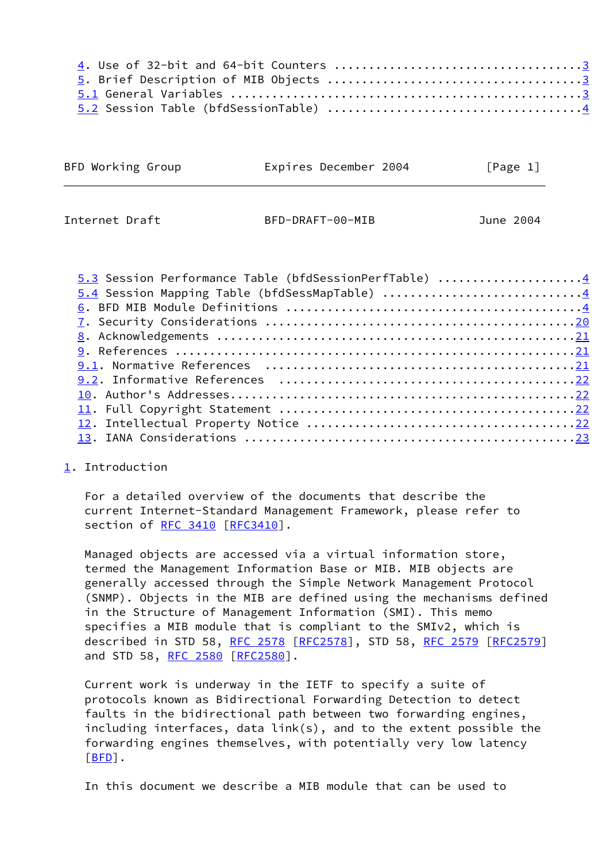|  | BFD Working Group |  | Expires December 2004 |  | [Page 1] |
|--|-------------------|--|-----------------------|--|----------|
|--|-------------------|--|-----------------------|--|----------|

<span id="page-1-1"></span>Internet Draft BFD-DRAFT-00-MIB June 2004

| 5.3 Session Performance Table (bfdSessionPerfTable) 4 |  |
|-------------------------------------------------------|--|
| 5.4 Session Mapping Table (bfdSessMapTable) 4         |  |
|                                                       |  |
|                                                       |  |
|                                                       |  |
|                                                       |  |
|                                                       |  |
|                                                       |  |
|                                                       |  |
|                                                       |  |
|                                                       |  |
|                                                       |  |
|                                                       |  |

# <span id="page-1-0"></span>[1](#page-1-0). Introduction

 For a detailed overview of the documents that describe the current Internet-Standard Management Framework, please refer to section of [RFC 3410 \[RFC3410](https://datatracker.ietf.org/doc/pdf/rfc3410)].

 Managed objects are accessed via a virtual information store, termed the Management Information Base or MIB. MIB objects are generally accessed through the Simple Network Management Protocol (SNMP). Objects in the MIB are defined using the mechanisms defined in the Structure of Management Information (SMI). This memo specifies a MIB module that is compliant to the SMIv2, which is described in STD 58, [RFC 2578](https://datatracker.ietf.org/doc/pdf/rfc2578) [[RFC2578](https://datatracker.ietf.org/doc/pdf/rfc2578)], STD 58, [RFC 2579](https://datatracker.ietf.org/doc/pdf/rfc2579) [[RFC2579](https://datatracker.ietf.org/doc/pdf/rfc2579)] and STD 58, [RFC 2580 \[RFC2580](https://datatracker.ietf.org/doc/pdf/rfc2580)].

 Current work is underway in the IETF to specify a suite of protocols known as Bidirectional Forwarding Detection to detect faults in the bidirectional path between two forwarding engines, including interfaces, data link(s), and to the extent possible the forwarding engines themselves, with potentially very low latency [\[BFD](#page-24-0)].

In this document we describe a MIB module that can be used to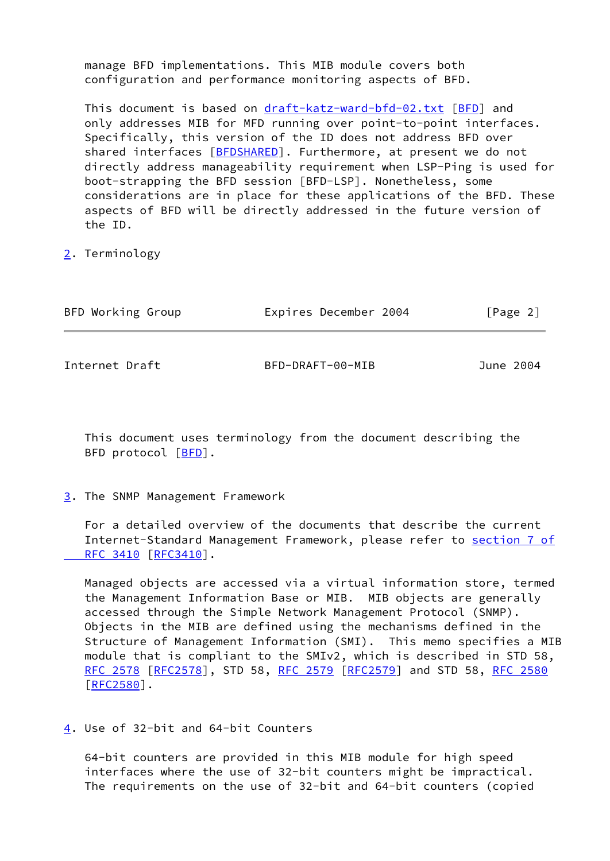manage BFD implementations. This MIB module covers both configuration and performance monitoring aspects of BFD.

This document is based on [draft-katz-ward-bfd-02.txt](https://datatracker.ietf.org/doc/pdf/draft-katz-ward-bfd-02.txt) [\[BFD](#page-24-0)] and only addresses MIB for MFD running over point-to-point interfaces. Specifically, this version of the ID does not address BFD over shared interfaces [[BFDSHARED\]](#page-24-5). Furthermore, at present we do not directly address manageability requirement when LSP-Ping is used for boot-strapping the BFD session [BFD-LSP]. Nonetheless, some considerations are in place for these applications of the BFD. These aspects of BFD will be directly addressed in the future version of the ID.

<span id="page-2-0"></span>[2](#page-2-0). Terminology

<span id="page-2-2"></span>

| BFD Working Group | Expires December 2004 | [Page 2]  |
|-------------------|-----------------------|-----------|
| Internet Draft    | BFD-DRAFT-00-MIB      | June 2004 |
|                   |                       |           |

 This document uses terminology from the document describing the BFD protocol [\[BFD](#page-24-0)].

<span id="page-2-1"></span>[3](#page-2-1). The SNMP Management Framework

 For a detailed overview of the documents that describe the current Internet-Standard Management Framework, please refer to [section](https://datatracker.ietf.org/doc/pdf/rfc3410#section-7) 7 of RFC 3410 [\[RFC3410](https://datatracker.ietf.org/doc/pdf/rfc3410)].

 Managed objects are accessed via a virtual information store, termed the Management Information Base or MIB. MIB objects are generally accessed through the Simple Network Management Protocol (SNMP). Objects in the MIB are defined using the mechanisms defined in the Structure of Management Information (SMI). This memo specifies a MIB module that is compliant to the SMIv2, which is described in STD 58, [RFC 2578](https://datatracker.ietf.org/doc/pdf/rfc2578) [\[RFC2578](https://datatracker.ietf.org/doc/pdf/rfc2578)], STD 58, [RFC 2579 \[RFC2579](https://datatracker.ietf.org/doc/pdf/rfc2579)] and STD 58, [RFC 2580](https://datatracker.ietf.org/doc/pdf/rfc2580)  $[REC2580]$ .

<span id="page-2-3"></span>[4](#page-2-3). Use of 32-bit and 64-bit Counters

 64-bit counters are provided in this MIB module for high speed interfaces where the use of 32-bit counters might be impractical. The requirements on the use of 32-bit and 64-bit counters (copied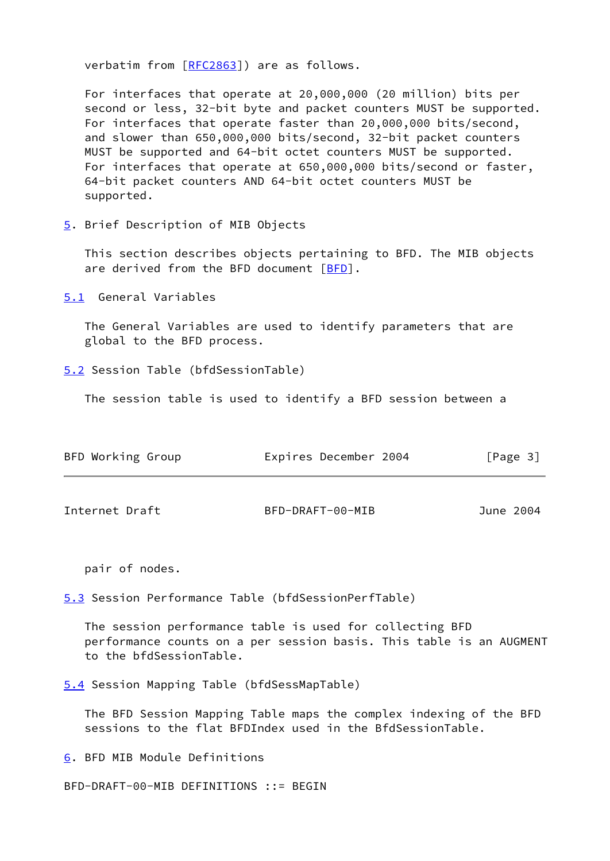verbatim from [[RFC2863](https://datatracker.ietf.org/doc/pdf/rfc2863)]) are as follows.

 For interfaces that operate at 20,000,000 (20 million) bits per second or less, 32-bit byte and packet counters MUST be supported. For interfaces that operate faster than 20,000,000 bits/second, and slower than 650,000,000 bits/second, 32-bit packet counters MUST be supported and 64-bit octet counters MUST be supported. For interfaces that operate at 650,000,000 bits/second or faster, 64-bit packet counters AND 64-bit octet counters MUST be supported.

<span id="page-3-0"></span>[5](#page-3-0). Brief Description of MIB Objects

 This section describes objects pertaining to BFD. The MIB objects are derived from the [BFD](#page-24-0) document  $[BFD]$ .

<span id="page-3-1"></span>[5.1](#page-3-1) General Variables

 The General Variables are used to identify parameters that are global to the BFD process.

<span id="page-3-2"></span>[5.2](#page-3-2) Session Table (bfdSessionTable)

The session table is used to identify a BFD session between a

<span id="page-3-3"></span>

| BFD Working Group | Expires December 2004 | [Page 3]  |
|-------------------|-----------------------|-----------|
| Internet Draft    | BFD-DRAFT-00-MIB      | June 2004 |

pair of nodes.

<span id="page-3-4"></span>[5.3](#page-3-4) Session Performance Table (bfdSessionPerfTable)

 The session performance table is used for collecting BFD performance counts on a per session basis. This table is an AUGMENT to the bfdSessionTable.

<span id="page-3-5"></span>[5.4](#page-3-5) Session Mapping Table (bfdSessMapTable)

 The BFD Session Mapping Table maps the complex indexing of the BFD sessions to the flat BFDIndex used in the BfdSessionTable.

<span id="page-3-6"></span>[6](#page-3-6). BFD MIB Module Definitions

BFD-DRAFT-00-MIB DEFINITIONS ::= BEGIN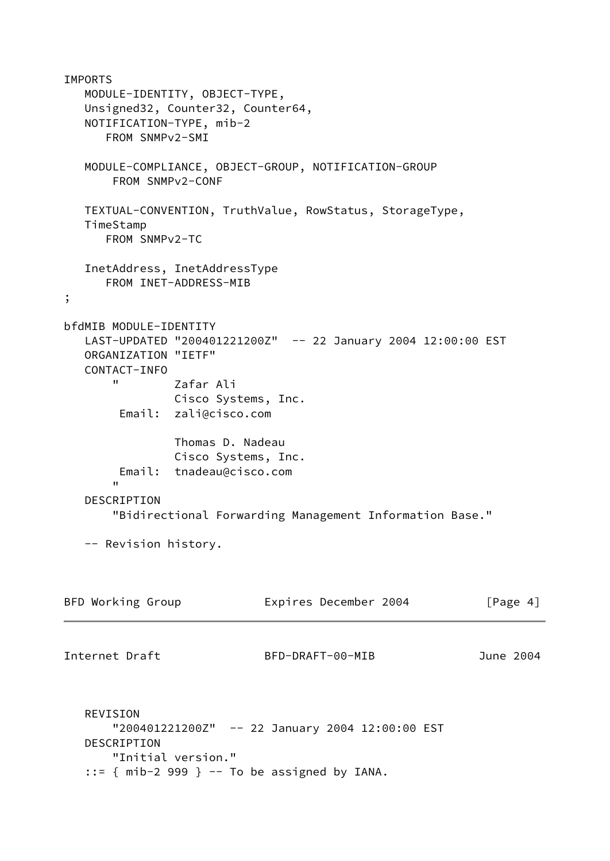IMPORTS MODULE-IDENTITY, OBJECT-TYPE, Unsigned32, Counter32, Counter64, NOTIFICATION-TYPE, mib-2 FROM SNMPv2-SMI MODULE-COMPLIANCE, OBJECT-GROUP, NOTIFICATION-GROUP FROM SNMPv2-CONF TEXTUAL-CONVENTION, TruthValue, RowStatus, StorageType, TimeStamp FROM SNMPv2-TC InetAddress, InetAddressType FROM INET-ADDRESS-MIB ; bfdMIB MODULE-IDENTITY LAST-UPDATED "200401221200Z" -- 22 January 2004 12:00:00 EST ORGANIZATION "IETF" CONTACT-INFO " Zafar Ali Cisco Systems, Inc. Email: zali@cisco.com Thomas D. Nadeau Cisco Systems, Inc. Email: tnadeau@cisco.com " DESCRIPTION "Bidirectional Forwarding Management Information Base." -- Revision history. BFD Working Group **Expires December 2004** [Page 4] Internet Draft BFD-DRAFT-00-MIB June 2004 REVISION "200401221200Z" -- 22 January 2004 12:00:00 EST DESCRIPTION "Initial version."  $::=$  { mib-2 999 } -- To be assigned by IANA.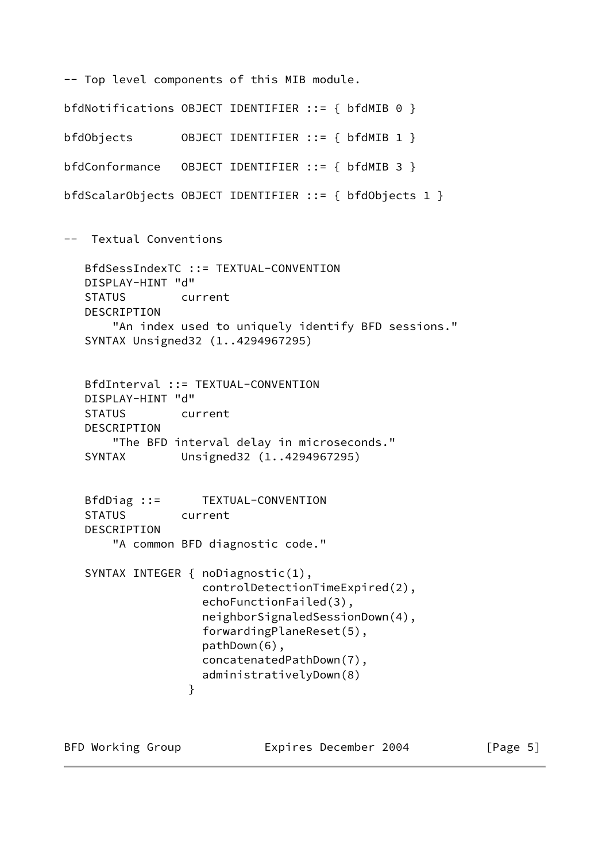```
-- Top level components of this MIB module.
bfdNotifications OBJECT IDENTIFIER ::= { bfdMIB 0 }
bfdObjects OBJECT IDENTIFIER ::= { bfdMIB 1 }
bfdConformance OBJECT IDENTIFIER ::= { bfdMIB 3 }
bfdScalarObjects OBJECT IDENTIFIER ::= { bfdObjects 1 }
-- Textual Conventions
   BfdSessIndexTC ::= TEXTUAL-CONVENTION
   DISPLAY-HINT "d"
   STATUS current
   DESCRIPTION
        "An index used to uniquely identify BFD sessions."
   SYNTAX Unsigned32 (1..4294967295)
   BfdInterval ::= TEXTUAL-CONVENTION
   DISPLAY-HINT "d"
   STATUS current
   DESCRIPTION
       "The BFD interval delay in microseconds."
   SYNTAX Unsigned32 (1..4294967295)
   BfdDiag ::= TEXTUAL-CONVENTION
   STATUS current
   DESCRIPTION
        "A common BFD diagnostic code."
   SYNTAX INTEGER { noDiagnostic(1),
                    controlDetectionTimeExpired(2),
                    echoFunctionFailed(3),
                    neighborSignaledSessionDown(4),
                    forwardingPlaneReset(5),
                    pathDown(6),
                    concatenatedPathDown(7),
                    administrativelyDown(8)
 }
```
BFD Working Group **Expires December 2004** [Page 5]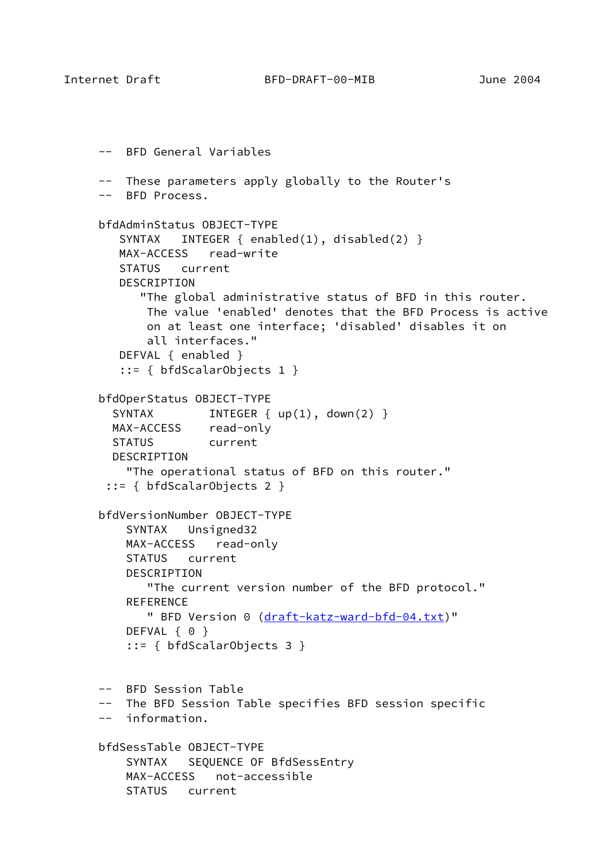```
 -- BFD General Variables
 -- These parameters apply globally to the Router's
 -- BFD Process.
 bfdAdminStatus OBJECT-TYPE
    SYNTAX INTEGER { enabled(1), disabled(2) }
    MAX-ACCESS read-write
    STATUS current
    DESCRIPTION
       "The global administrative status of BFD in this router.
        The value 'enabled' denotes that the BFD Process is active
        on at least one interface; 'disabled' disables it on
        all interfaces."
    DEFVAL { enabled }
    ::= { bfdScalarObjects 1 }
 bfdOperStatus OBJECT-TYPE
  SYNTAX INTEGER { up(1), down(2) }
   MAX-ACCESS read-only
   STATUS current
   DESCRIPTION
     "The operational status of BFD on this router."
  ::= { bfdScalarObjects 2 }
 bfdVersionNumber OBJECT-TYPE
     SYNTAX Unsigned32
     MAX-ACCESS read-only
     STATUS current
     DESCRIPTION
        "The current version number of the BFD protocol."
     REFERENCE
       (draft-katz-ward-bfd-04.txt)"
    DEFVAL { 0 }
     ::= { bfdScalarObjects 3 }
 -- BFD Session Table
 -- The BFD Session Table specifies BFD session specific
 -- information.
 bfdSessTable OBJECT-TYPE
     SYNTAX SEQUENCE OF BfdSessEntry
     MAX-ACCESS not-accessible
     STATUS current
```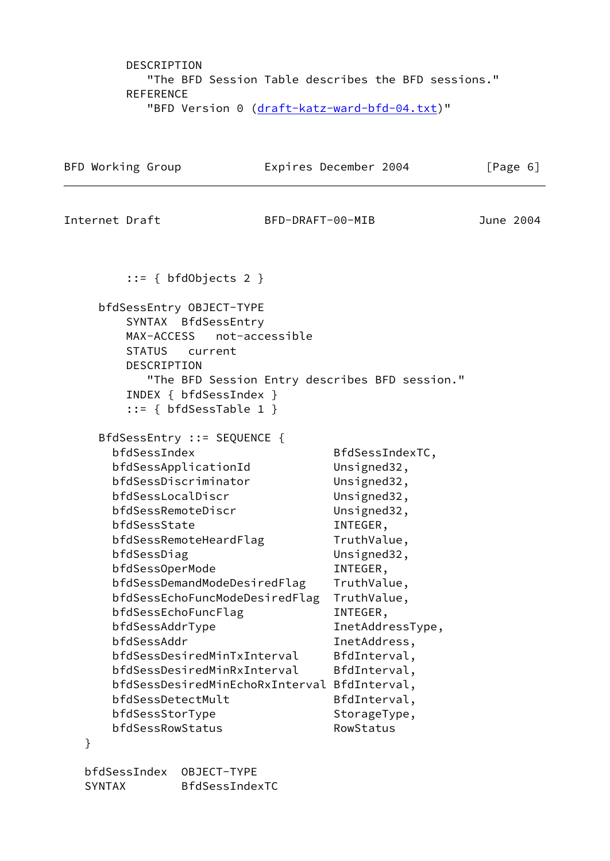DESCRIPTION "The BFD Session Table describes the BFD sessions." REFERENCE "BFD Version 0 [\(draft-katz-ward-bfd-04.txt\)](https://datatracker.ietf.org/doc/pdf/draft-katz-ward-bfd-04.txt)"

|                | BFD Working Group                                                                                                                                                                                                                                                                                                                                                                                                                                                                                          |                  | Expires December 2004                                                                                                                                                                                                                                                                                        | [Page 6]  |
|----------------|------------------------------------------------------------------------------------------------------------------------------------------------------------------------------------------------------------------------------------------------------------------------------------------------------------------------------------------------------------------------------------------------------------------------------------------------------------------------------------------------------------|------------------|--------------------------------------------------------------------------------------------------------------------------------------------------------------------------------------------------------------------------------------------------------------------------------------------------------------|-----------|
| Internet Draft |                                                                                                                                                                                                                                                                                                                                                                                                                                                                                                            | BFD-DRAFT-00-MIB |                                                                                                                                                                                                                                                                                                              | June 2004 |
|                | $::= \{ bfdObjects 2 \}$                                                                                                                                                                                                                                                                                                                                                                                                                                                                                   |                  |                                                                                                                                                                                                                                                                                                              |           |
|                | bfdSessEntry OBJECT-TYPE<br>SYNTAX BfdSessEntry<br>MAX-ACCESS<br>STATUS current<br>DESCRIPTION<br>INDEX { bfdSessIndex }<br>$::= \{ bfdSessTable 1 \}$                                                                                                                                                                                                                                                                                                                                                     | not-accessible   | "The BFD Session Entry describes BFD session."                                                                                                                                                                                                                                                               |           |
| }              | BfdSessEntry ::= SEQUENCE {<br>bfdSessIndex<br>bfdSessApplicationId<br>bfdSessDiscriminator<br>bfdSessLocalDiscr<br>bfdSessRemoteDiscr<br>bfdSessState<br>bfdSessRemoteHeardFlag<br>bfdSessDiag<br>bfdSessOperMode<br>bfdSessDemandModeDesiredFlag<br>bfdSessEchoFuncModeDesiredFlag<br>bfdSessEchoFuncFlag<br>bfdSessAddrType<br>bfdSessAddr<br>bfdSessDesiredMinTxInterval<br>bfdSessDesiredMinRxInterval<br>bfdSessDesiredMinEchoRxInterval<br>bfdSessDetectMult<br>bfdSessStorType<br>bfdSessRowStatus |                  | BfdSessIndexTC,<br>Unsigned32,<br>Unsigned32,<br>Unsigned32,<br>Unsigned32,<br>INTEGER,<br>TruthValue,<br>Unsigned32,<br>INTEGER,<br>TruthValue,<br>TruthValue,<br>INTEGER,<br>InetAddressType,<br>InetAddress,<br>BfdInterval,<br>BfdInterval,<br>BfdInterval,<br>BfdInterval,<br>StorageType,<br>RowStatus |           |

 bfdSessIndex OBJECT-TYPE SYNTAX BfdSessIndexTC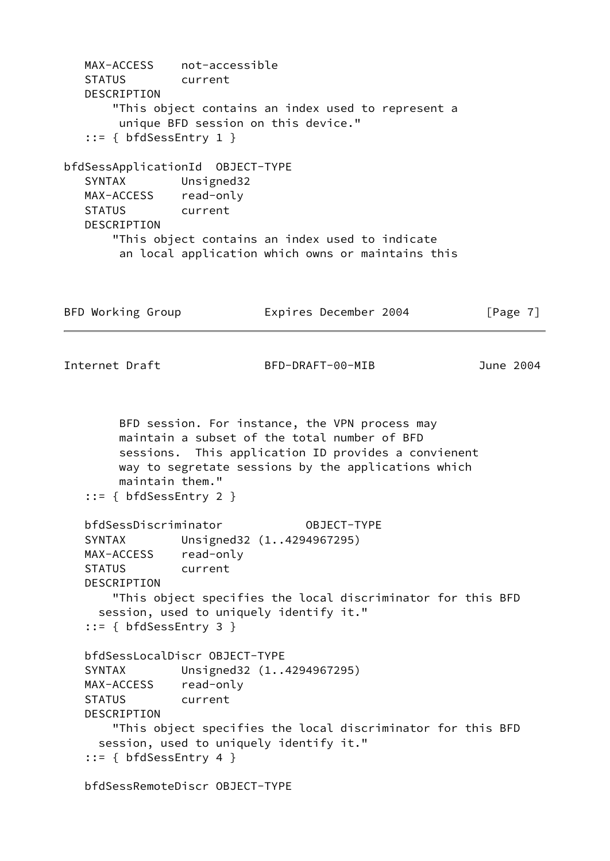MAX-ACCESS not-accessible STATUS current DESCRIPTION "This object contains an index used to represent a unique BFD session on this device." ::= { bfdSessEntry 1 } bfdSessApplicationId OBJECT-TYPE SYNTAX Unsigned32 MAX-ACCESS read-only STATUS current DESCRIPTION "This object contains an index used to indicate an local application which owns or maintains this BFD Working Group **Expires December 2004** [Page 7] Internet Draft BFD-DRAFT-00-MIB June 2004 BFD session. For instance, the VPN process may maintain a subset of the total number of BFD sessions. This application ID provides a convienent way to segretate sessions by the applications which maintain them." ::= { bfdSessEntry 2 } bfdSessDiscriminator OBJECT-TYPE SYNTAX Unsigned32 (1..4294967295) MAX-ACCESS read-only STATUS current DESCRIPTION "This object specifies the local discriminator for this BFD session, used to uniquely identify it." ::= { bfdSessEntry 3 } bfdSessLocalDiscr OBJECT-TYPE SYNTAX Unsigned32 (1..4294967295) MAX-ACCESS read-only STATUS current DESCRIPTION "This object specifies the local discriminator for this BFD session, used to uniquely identify it." ::= { bfdSessEntry 4 } bfdSessRemoteDiscr OBJECT-TYPE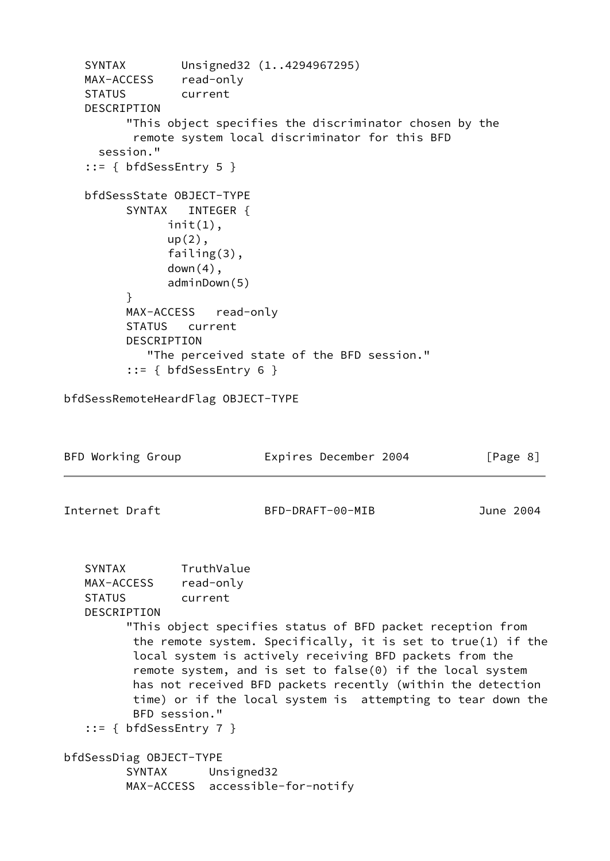```
 SYNTAX Unsigned32 (1..4294967295)
   MAX-ACCESS read-only
   STATUS current
   DESCRIPTION
         "This object specifies the discriminator chosen by the
          remote system local discriminator for this BFD
     session."
   ::= { bfdSessEntry 5 }
   bfdSessState OBJECT-TYPE
        SYNTAX INTEGER {
              init(1),
               up(2),
               failing(3),
              down(4),
               adminDown(5)
 }
         MAX-ACCESS read-only
         STATUS current
         DESCRIPTION
            "The perceived state of the BFD session."
         ::= { bfdSessEntry 6 }
bfdSessRemoteHeardFlag OBJECT-TYPE
BFD Working Group Expires December 2004 [Page 8]
Internet Draft BFD-DRAFT-00-MIB June 2004
   SYNTAX TruthValue
   MAX-ACCESS read-only
   STATUS current
   DESCRIPTION
         "This object specifies status of BFD packet reception from
          the remote system. Specifically, it is set to true(1) if the
          local system is actively receiving BFD packets from the
          remote system, and is set to false(0) if the local system
          has not received BFD packets recently (within the detection
          time) or if the local system is attempting to tear down the
          BFD session."
    ::= { bfdSessEntry 7 }
bfdSessDiag OBJECT-TYPE
         SYNTAX Unsigned32
         MAX-ACCESS accessible-for-notify
```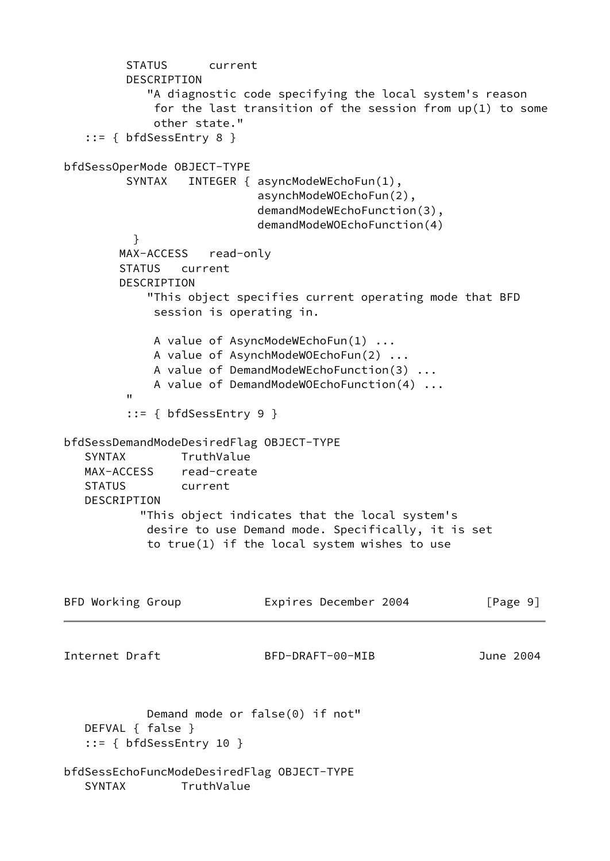```
 STATUS current
         DESCRIPTION
            "A diagnostic code specifying the local system's reason
             for the last transition of the session from up(1) to some
             other state."
    ::= { bfdSessEntry 8 }
bfdSessOperMode OBJECT-TYPE
        SYNTAX INTEGER { asyncModeWEchoFun(1),
                            asynchModeWOEchoFun(2),
                            demandModeWEchoFunction(3),
                            demandModeWOEchoFunction(4)
          }
        MAX-ACCESS read-only
        STATUS current
        DESCRIPTION
            "This object specifies current operating mode that BFD
             session is operating in.
             A value of AsyncModeWEchoFun(1) ...
             A value of AsynchModeWOEchoFun(2) ...
             A value of DemandModeWEchoFunction(3) ...
             A value of DemandModeWOEchoFunction(4) ...
 "
         ::= { bfdSessEntry 9 }
bfdSessDemandModeDesiredFlag OBJECT-TYPE
   SYNTAX TruthValue
   MAX-ACCESS read-create
   STATUS current
   DESCRIPTION
           "This object indicates that the local system's
            desire to use Demand mode. Specifically, it is set
            to true(1) if the local system wishes to use
BFD Working Group Expires December 2004 [Page 9]
Internet Draft BFD-DRAFT-00-MIB June 2004
            Demand mode or false(0) if not"
   DEFVAL { false }
    ::= { bfdSessEntry 10 }
bfdSessEchoFuncModeDesiredFlag OBJECT-TYPE
   SYNTAX TruthValue
```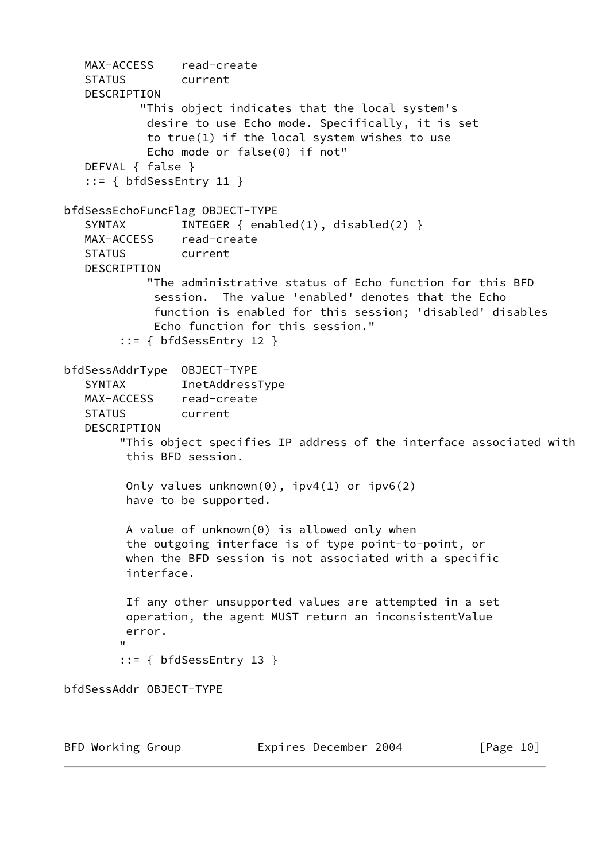```
 MAX-ACCESS read-create
   STATUS current
   DESCRIPTION
           "This object indicates that the local system's
            desire to use Echo mode. Specifically, it is set
            to true(1) if the local system wishes to use
            Echo mode or false(0) if not"
   DEFVAL { false }
   ::= { bfdSessEntry 11 }
bfdSessEchoFuncFlag OBJECT-TYPE
  SYNTAX INTEGER { enabled(1), disabled(2) }
   MAX-ACCESS read-create
   STATUS current
   DESCRIPTION
            "The administrative status of Echo function for this BFD
             session. The value 'enabled' denotes that the Echo
             function is enabled for this session; 'disabled' disables
             Echo function for this session."
         ::= { bfdSessEntry 12 }
bfdSessAddrType OBJECT-TYPE
    SYNTAX InetAddressType
   MAX-ACCESS read-create
   STATUS current
   DESCRIPTION
         "This object specifies IP address of the interface associated with
         this BFD session.
         Only values unknown(0), ipv4(1) or ipv6(2)
         have to be supported.
         A value of unknown(0) is allowed only when
         the outgoing interface is of type point-to-point, or
         when the BFD session is not associated with a specific
         interface.
         If any other unsupported values are attempted in a set
         operation, the agent MUST return an inconsistentValue
         error.
 "
         ::= { bfdSessEntry 13 }
bfdSessAddr OBJECT-TYPE
BFD Working Group Expires December 2004 [Page 10]
```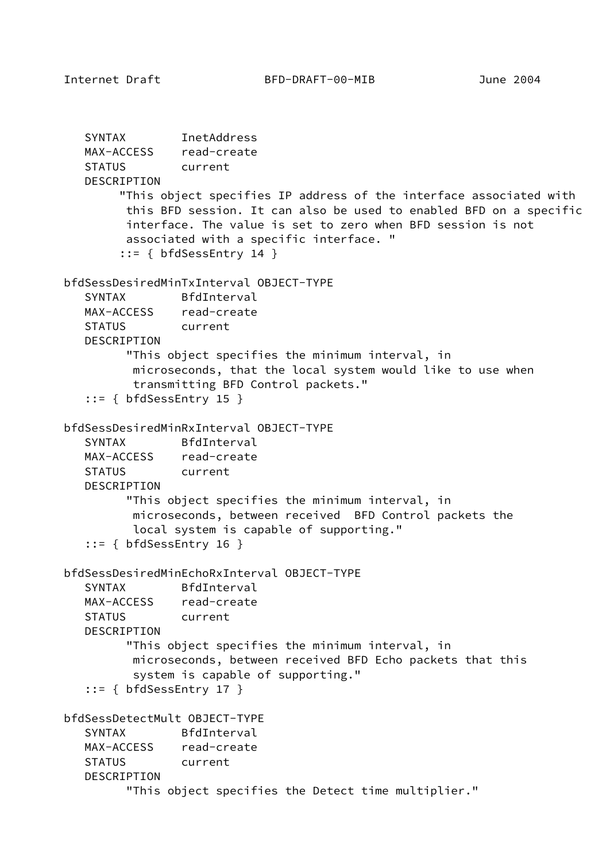```
 SYNTAX InetAddress
   MAX-ACCESS read-create
   STATUS current
   DESCRIPTION
         "This object specifies IP address of the interface associated with
         this BFD session. It can also be used to enabled BFD on a specific
         interface. The value is set to zero when BFD session is not
         associated with a specific interface. "
         ::= { bfdSessEntry 14 }
bfdSessDesiredMinTxInterval OBJECT-TYPE
    SYNTAX BfdInterval
   MAX-ACCESS read-create
   STATUS current
   DESCRIPTION
         "This object specifies the minimum interval, in
          microseconds, that the local system would like to use when
          transmitting BFD Control packets."
    ::= { bfdSessEntry 15 }
bfdSessDesiredMinRxInterval OBJECT-TYPE
   SYNTAX BfdInterval
   MAX-ACCESS read-create
   STATUS current
   DESCRIPTION
         "This object specifies the minimum interval, in
          microseconds, between received BFD Control packets the
          local system is capable of supporting."
    ::= { bfdSessEntry 16 }
bfdSessDesiredMinEchoRxInterval OBJECT-TYPE
   SYNTAX BfdInterval
   MAX-ACCESS read-create
   STATUS current
   DESCRIPTION
          "This object specifies the minimum interval, in
          microseconds, between received BFD Echo packets that this
          system is capable of supporting."
    ::= { bfdSessEntry 17 }
bfdSessDetectMult OBJECT-TYPE
   SYNTAX BfdInterval
   MAX-ACCESS read-create
   STATUS current
   DESCRIPTION
         "This object specifies the Detect time multiplier."
```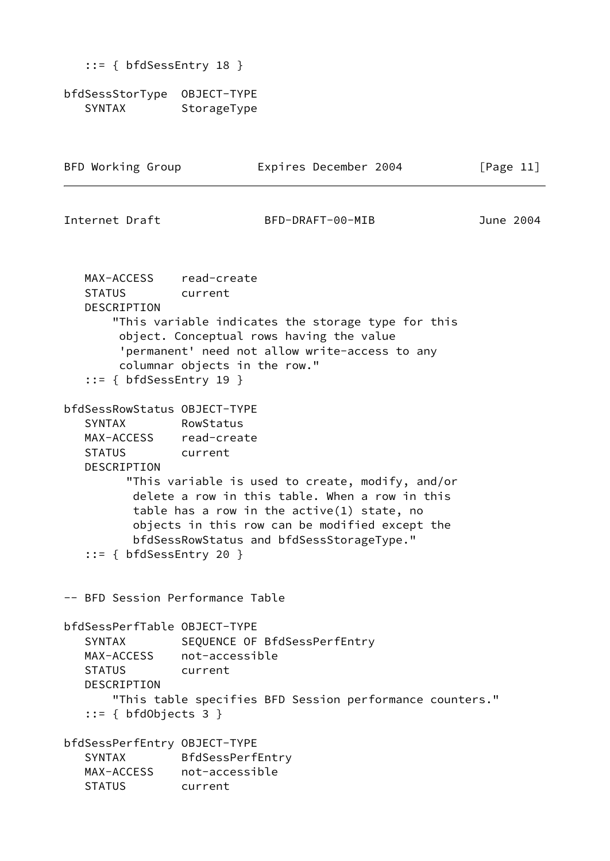|  |  | $::= { bfdSessEntry 18 }$ |  |  |
|--|--|---------------------------|--|--|
|--|--|---------------------------|--|--|

bfdSessStorType OBJECT-TYPE SYNTAX StorageType

| BFD Working Group                                                                                                                     |                                               | Expires December 2004                                                                                                                                                                                                                             | [Page 11] |  |
|---------------------------------------------------------------------------------------------------------------------------------------|-----------------------------------------------|---------------------------------------------------------------------------------------------------------------------------------------------------------------------------------------------------------------------------------------------------|-----------|--|
| Internet Draft                                                                                                                        |                                               | BFD-DRAFT-00-MIB                                                                                                                                                                                                                                  | June 2004 |  |
| MAX-ACCESS read-create<br><b>STATUS</b><br>DESCRIPTION<br>$::= \{ bfdSessEntry 19 \}$                                                 | current<br>columnar objects in the row."      | "This variable indicates the storage type for this<br>object. Conceptual rows having the value<br>'permanent' need not allow write-access to any                                                                                                  |           |  |
| bfdSessRowStatus OBJECT-TYPE<br><b>SYNTAX</b><br>MAX-ACCESS read-create<br>STATUS current<br>DESCRIPTION<br>$::=$ { bfdSessEntry 20 } | RowStatus                                     | "This variable is used to create, modify, and/or<br>delete a row in this table. When a row in this<br>table has a row in the $active(1)$ state, no<br>objects in this row can be modified except the<br>bfdSessRowStatus and bfdSessStorageType." |           |  |
| -- BFD Session Performance Table                                                                                                      |                                               |                                                                                                                                                                                                                                                   |           |  |
| bfdSessPerfTable OBJECT-TYPE<br><b>SYNTAX</b><br>MAX-ACCESS<br><b>STATUS</b><br><b>DESCRIPTION</b><br>$::= \{ bfdObjects 3 \}$        | not-accessible<br>current                     | SEQUENCE OF BfdSessPerfEntry<br>"This table specifies BFD Session performance counters."                                                                                                                                                          |           |  |
| bfdSessPerfEntry OBJECT-TYPE<br><b>SYNTAX</b><br>MAX-ACCESS<br><b>STATUS</b>                                                          | BfdSessPerfEntry<br>not-accessible<br>current |                                                                                                                                                                                                                                                   |           |  |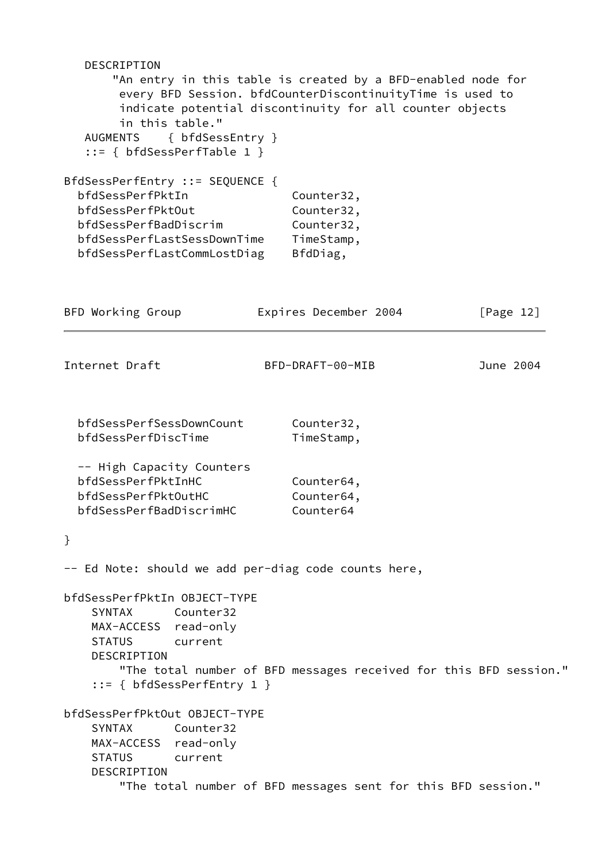| DESCRIPTION<br>in this table."<br>AUGMENTS { bfdSessEntry }<br>$::= \{ bfdSessPerfTable 1 \}$                                                                   | "An entry in this table is created by a BFD-enabled node for<br>every BFD Session. bfdCounterDiscontinuityTime is used to<br>indicate potential discontinuity for all counter objects |              |
|-----------------------------------------------------------------------------------------------------------------------------------------------------------------|---------------------------------------------------------------------------------------------------------------------------------------------------------------------------------------|--------------|
| BfdSessPerfEntry ::= SEQUENCE {<br>bfdSessPerfPktIn<br>bfdSessPerfPktOut<br>bfdSessPerfBadDiscrim<br>bfdSessPerfLastSessDownTime<br>bfdSessPerfLastCommLostDiag | Counter32,<br>Counter32,<br>Counter32,<br>TimeStamp,<br>BfdDiag,                                                                                                                      |              |
| BFD Working Group                                                                                                                                               | Expires December 2004                                                                                                                                                                 | [Page $12$ ] |
| Internet Draft                                                                                                                                                  | BFD-DRAFT-00-MIB                                                                                                                                                                      | June 2004    |
| bfdSessPerfSessDownCount<br>bfdSessPerfDiscTime                                                                                                                 | Counter32,<br>TimeStamp,                                                                                                                                                              |              |
| -- High Capacity Counters<br>bfdSessPerfPktInHC<br>bfdSessPerfPktOutHC<br>bfdSessPerfBadDiscrimHC                                                               | Counter64,<br>Counter64,<br>Counter64                                                                                                                                                 |              |
| }                                                                                                                                                               |                                                                                                                                                                                       |              |
| -- Ed Note: should we add per-diag code counts here,                                                                                                            |                                                                                                                                                                                       |              |
| bfdSessPerfPktIn OBJECT-TYPE<br>Counter32<br>SYNTAX<br>MAX-ACCESS read-only<br>STATUS current<br>DESCRIPTION<br>$::= \{ bfdSessPerfEntry 1 \}$                  | "The total number of BFD messages received for this BFD session."                                                                                                                     |              |
| bfdSessPerfPktOut OBJECT-TYPE<br>SYNTAX Counter32<br>MAX-ACCESS read-only<br><b>STATUS</b><br>current<br>DESCRIPTION                                            | "The total number of BFD messages sent for this BFD session."                                                                                                                         |              |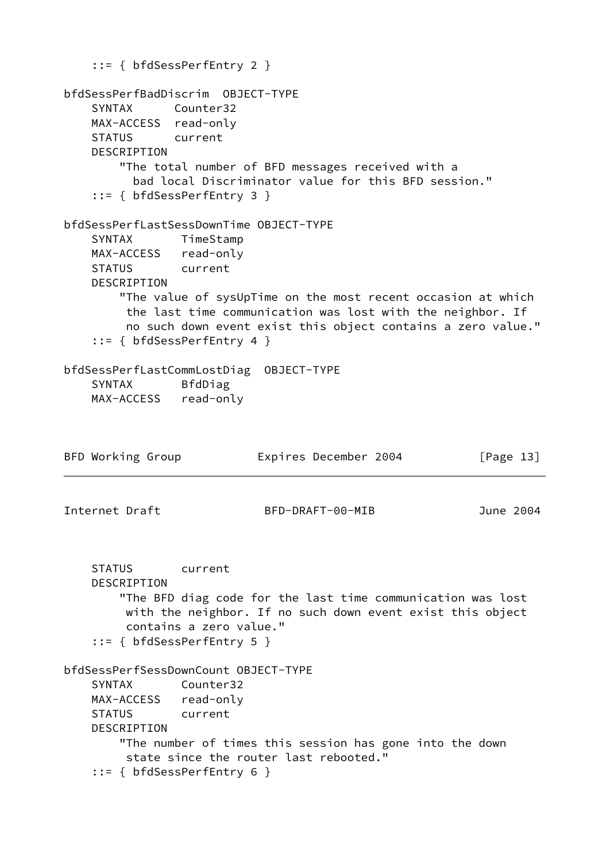::= { bfdSessPerfEntry 2 } bfdSessPerfBadDiscrim OBJECT-TYPE SYNTAX Counter32 MAX-ACCESS read-only STATUS current DESCRIPTION "The total number of BFD messages received with a bad local Discriminator value for this BFD session." ::= { bfdSessPerfEntry 3 } bfdSessPerfLastSessDownTime OBJECT-TYPE SYNTAX TimeStamp MAX-ACCESS read-only STATUS current DESCRIPTION "The value of sysUpTime on the most recent occasion at which the last time communication was lost with the neighbor. If no such down event exist this object contains a zero value." ::= { bfdSessPerfEntry 4 } bfdSessPerfLastCommLostDiag OBJECT-TYPE SYNTAX BfdDiag MAX-ACCESS read-only BFD Working Group **Expires December 2004** [Page 13] Internet Draft BFD-DRAFT-00-MIB June 2004 STATUS current DESCRIPTION "The BFD diag code for the last time communication was lost with the neighbor. If no such down event exist this object contains a zero value." ::= { bfdSessPerfEntry 5 } bfdSessPerfSessDownCount OBJECT-TYPE SYNTAX Counter32 MAX-ACCESS read-only STATUS current DESCRIPTION "The number of times this session has gone into the down state since the router last rebooted." ::= { bfdSessPerfEntry 6 }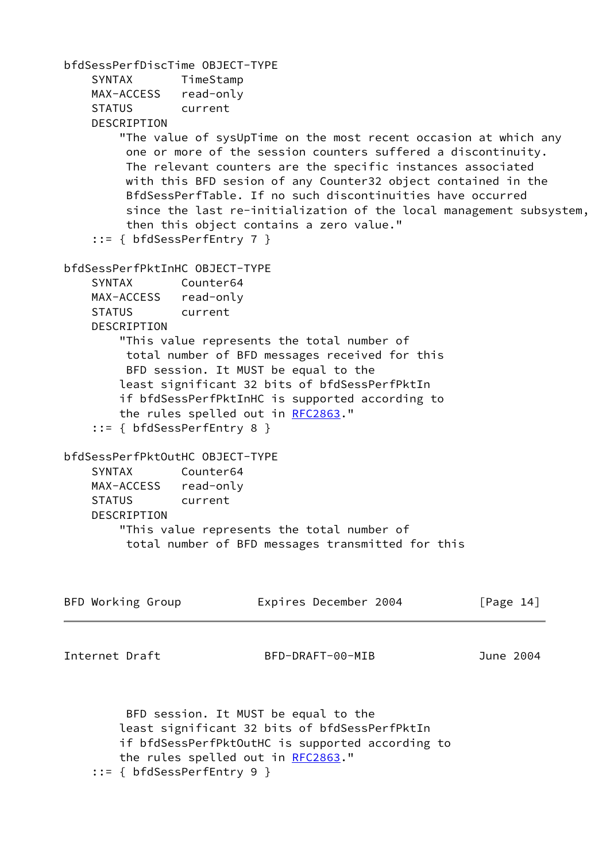```
bfdSessPerfDiscTime OBJECT-TYPE
    SYNTAX TimeStamp
    MAX-ACCESS read-only
     STATUS current
    DESCRIPTION
        "The value of sysUpTime on the most recent occasion at which any
         one or more of the session counters suffered a discontinuity.
         The relevant counters are the specific instances associated
         with this BFD sesion of any Counter32 object contained in the
         BfdSessPerfTable. If no such discontinuities have occurred
         since the last re-initialization of the local management subsystem,
         then this object contains a zero value."
     ::= { bfdSessPerfEntry 7 }
bfdSessPerfPktInHC OBJECT-TYPE
    SYNTAX Counter64
    MAX-ACCESS read-only
    STATUS current
    DESCRIPTION
        "This value represents the total number of
         total number of BFD messages received for this
         BFD session. It MUST be equal to the
        least significant 32 bits of bfdSessPerfPktIn
        if bfdSessPerfPktInHC is supported according to
        the rules spelled out in RFC2863."
     ::= { bfdSessPerfEntry 8 }
bfdSessPerfPktOutHC OBJECT-TYPE
     SYNTAX Counter64
    MAX-ACCESS read-only
    STATUS current
    DESCRIPTION
        "This value represents the total number of
         total number of BFD messages transmitted for this
BFD Working Group Expires December 2004 [Page 14]
Internet Draft BFD-DRAFT-00-MIB June 2004
         BFD session. It MUST be equal to the
        least significant 32 bits of bfdSessPerfPktIn
        if bfdSessPerfPktOutHC is supported according to
        the rules spelled out in RFC2863."
     ::= { bfdSessPerfEntry 9 }
```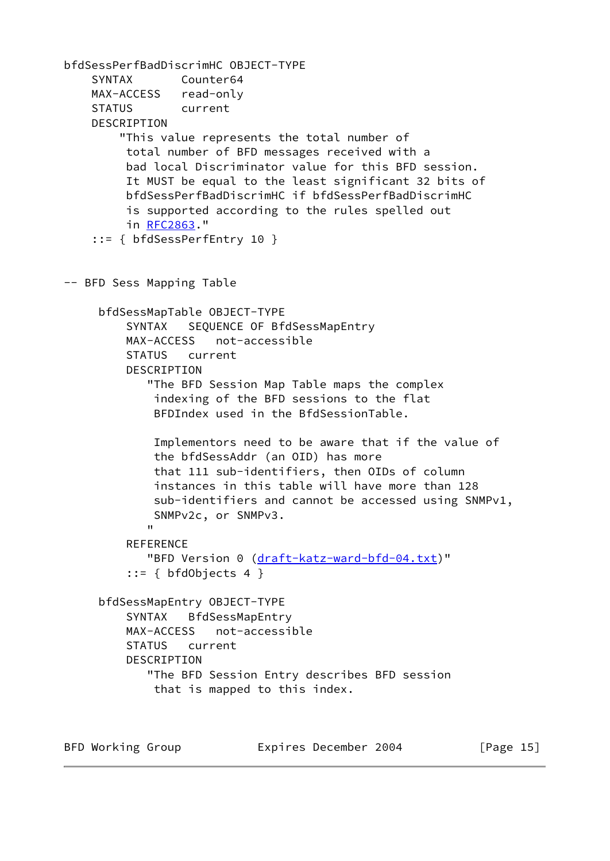```
bfdSessPerfBadDiscrimHC OBJECT-TYPE
     SYNTAX Counter64
     MAX-ACCESS read-only
     STATUS current
     DESCRIPTION
          "This value represents the total number of
           total number of BFD messages received with a
           bad local Discriminator value for this BFD session.
           It MUST be equal to the least significant 32 bits of
           bfdSessPerfBadDiscrimHC if bfdSessPerfBadDiscrimHC
           is supported according to the rules spelled out
           in RFC2863."
      ::= { bfdSessPerfEntry 10 }
-- BFD Sess Mapping Table
      bfdSessMapTable OBJECT-TYPE
           SYNTAX SEQUENCE OF BfdSessMapEntry
           MAX-ACCESS not-accessible
           STATUS current
           DESCRIPTION
               "The BFD Session Map Table maps the complex
                indexing of the BFD sessions to the flat
                BFDIndex used in the BfdSessionTable.
                Implementors need to be aware that if the value of
                the bfdSessAddr (an OID) has more
                that 111 sub-identifiers, then OIDs of column
                instances in this table will have more than 128
                sub-identifiers and cannot be accessed using SNMPv1,
                SNMPv2c, or SNMPv3.
" "The Contract of the Contract of the Contract of the Contract of the Contract of the Contract of the Contract of the Contract of the Contract of the Contract of the Contract of the Contract of the Contract of the Contrac
          REFERENCE
               "BFD Version 0 (draft-katz-ward-bfd-04.txt)"
           ::= { bfdObjects 4 } bfdSessMapEntry OBJECT-TYPE
           SYNTAX BfdSessMapEntry
           MAX-ACCESS not-accessible
           STATUS current
           DESCRIPTION
               "The BFD Session Entry describes BFD session
                that is mapped to this index.
```
BFD Working Group **Expires December 2004** [Page 15]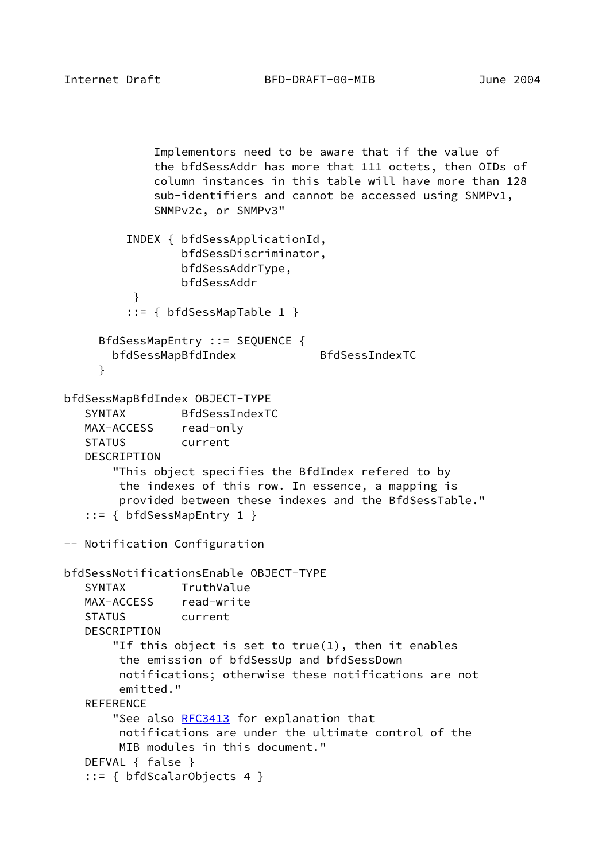```
 Implementors need to be aware that if the value of
              the bfdSessAddr has more that 111 octets, then OIDs of
              column instances in this table will have more than 128
              sub-identifiers and cannot be accessed using SNMPv1,
             SNMPv2c, or SNMPv3"
          INDEX { bfdSessApplicationId,
                 bfdSessDiscriminator,
                 bfdSessAddrType,
                 bfdSessAddr
 }
          ::= { bfdSessMapTable 1 }
     BfdSessMapEntry ::= SEQUENCE {
       bfdSessMapBfdIndex BfdSessIndexTC
     }
bfdSessMapBfdIndex OBJECT-TYPE
    SYNTAX BfdSessIndexTC
   MAX-ACCESS read-only
   STATUS current
   DESCRIPTION
        "This object specifies the BfdIndex refered to by
        the indexes of this row. In essence, a mapping is
        provided between these indexes and the BfdSessTable."
    ::= { bfdSessMapEntry 1 }
-- Notification Configuration
bfdSessNotificationsEnable OBJECT-TYPE
   SYNTAX TruthValue
   MAX-ACCESS read-write
   STATUS current
   DESCRIPTION
        "If this object is set to true(1), then it enables
         the emission of bfdSessUp and bfdSessDown
        notifications; otherwise these notifications are not
        emitted."
   REFERENCE
        RFC3413 for explanation that
        notifications are under the ultimate control of the
        MIB modules in this document."
   DEFVAL { false }
    ::= { bfdScalarObjects 4 }
```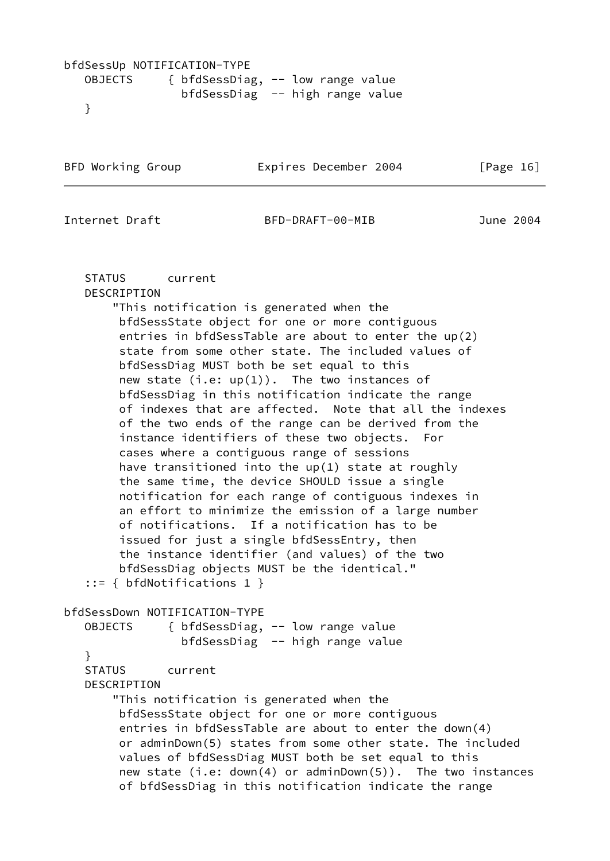# bfdSessUp NOTIFICATION-TYPE OBJECTS { bfdSessDiag, -- low range value bfdSessDiag -- high range value }

```
BFD Working Group Expires December 2004 [Page 16]
```
Internet Draft BFD-DRAFT-00-MIB June 2004

 STATUS current DESCRIPTION

 "This notification is generated when the bfdSessState object for one or more contiguous entries in bfdSessTable are about to enter the up(2) state from some other state. The included values of bfdSessDiag MUST both be set equal to this new state  $(i.e: up(1))$ . The two instances of bfdSessDiag in this notification indicate the range of indexes that are affected. Note that all the indexes of the two ends of the range can be derived from the instance identifiers of these two objects. For cases where a contiguous range of sessions have transitioned into the up(1) state at roughly the same time, the device SHOULD issue a single notification for each range of contiguous indexes in an effort to minimize the emission of a large number of notifications. If a notification has to be issued for just a single bfdSessEntry, then the instance identifier (and values) of the two bfdSessDiag objects MUST be the identical." ::= { bfdNotifications 1 }

bfdSessDown NOTIFICATION-TYPE OBJECTS { bfdSessDiag, -- low range value bfdSessDiag -- high range value } STATUS current DESCRIPTION "This notification is generated when the bfdSessState object for one or more contiguous entries in bfdSessTable are about to enter the down(4) or adminDown(5) states from some other state. The included values of bfdSessDiag MUST both be set equal to this new state (i.e: down(4) or adminDown(5)). The two instances of bfdSessDiag in this notification indicate the range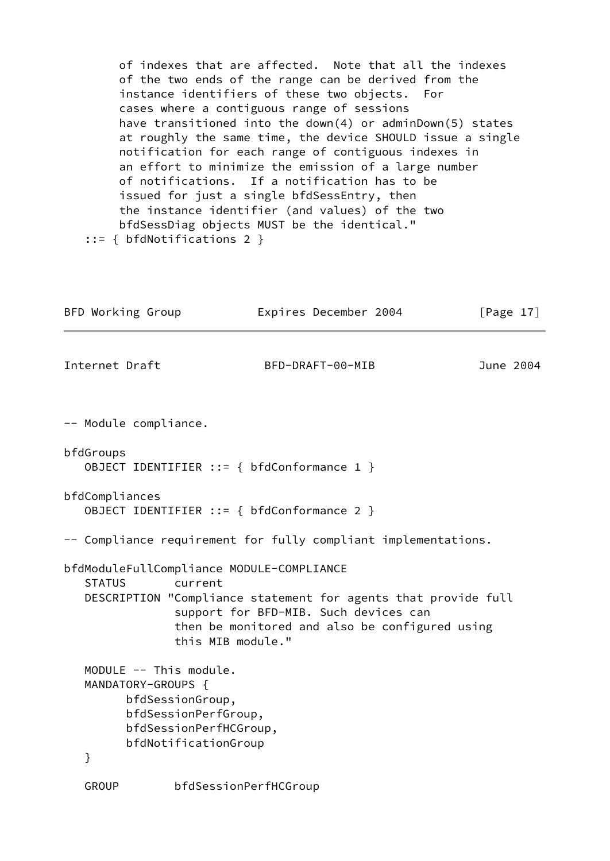of indexes that are affected. Note that all the indexes of the two ends of the range can be derived from the instance identifiers of these two objects. For cases where a contiguous range of sessions have transitioned into the down(4) or adminDown(5) states at roughly the same time, the device SHOULD issue a single notification for each range of contiguous indexes in an effort to minimize the emission of a large number of notifications. If a notification has to be issued for just a single bfdSessEntry, then the instance identifier (and values) of the two bfdSessDiag objects MUST be the identical." ::= { bfdNotifications 2 }

| BFD Working Group       |                                                                                                                      | Expires December 2004                                                                                                                                                                                                       | [Page $17$ ] |
|-------------------------|----------------------------------------------------------------------------------------------------------------------|-----------------------------------------------------------------------------------------------------------------------------------------------------------------------------------------------------------------------------|--------------|
| Internet Draft          |                                                                                                                      | BFD-DRAFT-00-MIB                                                                                                                                                                                                            | June 2004    |
| -- Module compliance.   |                                                                                                                      |                                                                                                                                                                                                                             |              |
| bfdGroups               |                                                                                                                      | OBJECT IDENTIFIER ::= { bfdConformance 1 }                                                                                                                                                                                  |              |
| bfdCompliances          |                                                                                                                      | OBJECT IDENTIFIER ::= { bfdConformance 2 }                                                                                                                                                                                  |              |
|                         |                                                                                                                      | -- Compliance requirement for fully compliant implementations.                                                                                                                                                              |              |
| <b>STATUS</b>           | current                                                                                                              | bfdModuleFullCompliance MODULE-COMPLIANCE<br>DESCRIPTION "Compliance statement for agents that provide full<br>support for BFD-MIB. Such devices can<br>then be monitored and also be configured using<br>this MIB module." |              |
| MANDATORY-GROUPS {<br>} | MODULE -- This module.<br>bfdSessionGroup,<br>bfdSessionPerfGroup,<br>bfdSessionPerfHCGroup,<br>bfdNotificationGroup |                                                                                                                                                                                                                             |              |
| <b>GROUP</b>            |                                                                                                                      | bfdSessionPerfHCGroup                                                                                                                                                                                                       |              |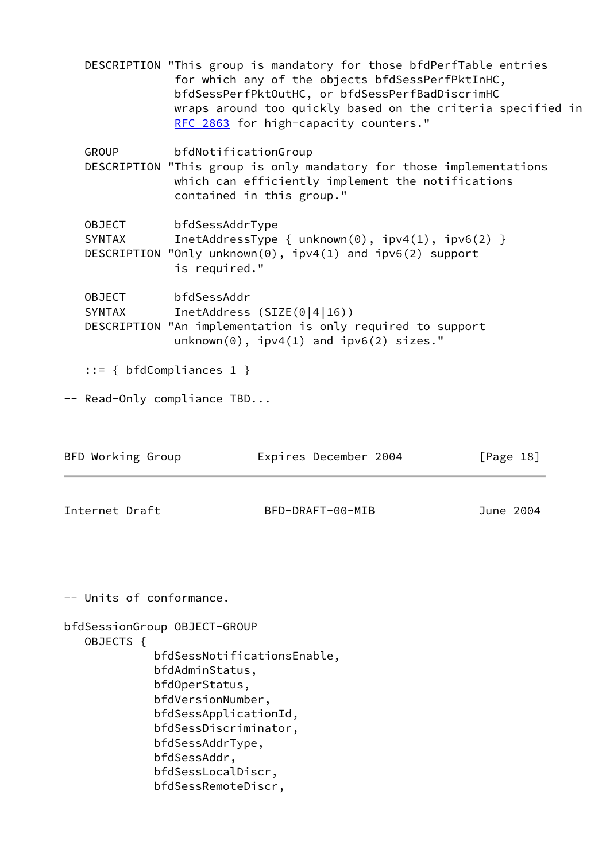DESCRIPTION "This group is mandatory for those bfdPerfTable entries for which any of the objects bfdSessPerfPktInHC, bfdSessPerfPktOutHC, or bfdSessPerfBadDiscrimHC wraps around too quickly based on the criteria specified in [RFC 2863](https://datatracker.ietf.org/doc/pdf/rfc2863) for high-capacity counters." GROUP bfdNotificationGroup DESCRIPTION "This group is only mandatory for those implementations which can efficiently implement the notifications contained in this group." OBJECT bfdSessAddrType SYNTAX InetAddressType { unknown(0), ipv4(1), ipv6(2) } DESCRIPTION "Only unknown(0), ipv4(1) and ipv6(2) support is required." OBJECT bfdSessAddr SYNTAX InetAddress (SIZE(0|4|16)) DESCRIPTION "An implementation is only required to support unknown(0), ipv4(1) and ipv6(2) sizes." ::= { bfdCompliances 1 } -- Read-Only compliance TBD... BFD Working Group **Expires December 2004** [Page 18] Internet Draft BFD-DRAFT-00-MIB June 2004 -- Units of conformance. bfdSessionGroup OBJECT-GROUP OBJECTS { bfdSessNotificationsEnable, bfdAdminStatus, bfdOperStatus, bfdVersionNumber, bfdSessApplicationId, bfdSessDiscriminator, bfdSessAddrType, bfdSessAddr, bfdSessLocalDiscr, bfdSessRemoteDiscr,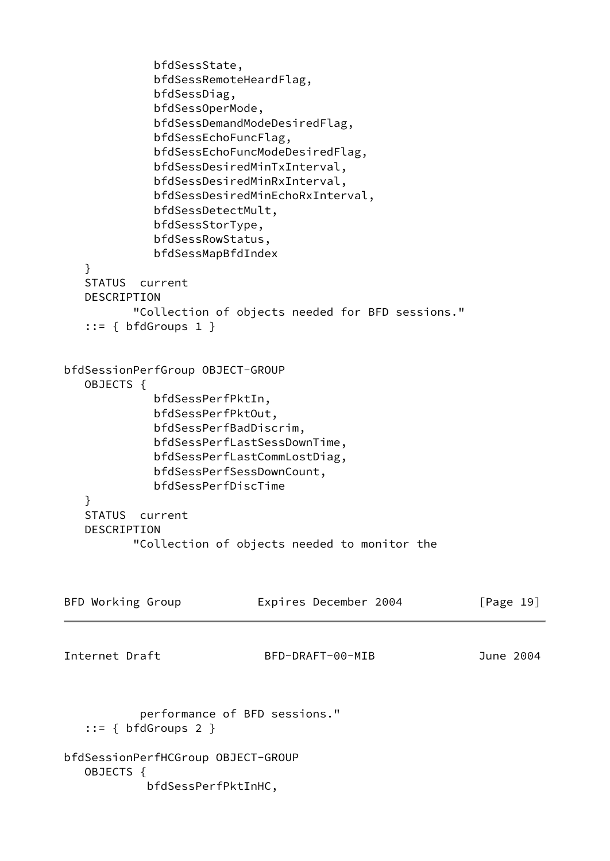<span id="page-22-0"></span> bfdSessState, bfdSessRemoteHeardFlag, bfdSessDiag, bfdSessOperMode, bfdSessDemandModeDesiredFlag, bfdSessEchoFuncFlag, bfdSessEchoFuncModeDesiredFlag, bfdSessDesiredMinTxInterval, bfdSessDesiredMinRxInterval, bfdSessDesiredMinEchoRxInterval, bfdSessDetectMult, bfdSessStorType, bfdSessRowStatus, bfdSessMapBfdIndex } STATUS current DESCRIPTION "Collection of objects needed for BFD sessions."  $::=$  { bfdGroups 1 } bfdSessionPerfGroup OBJECT-GROUP OBJECTS { bfdSessPerfPktIn, bfdSessPerfPktOut, bfdSessPerfBadDiscrim, bfdSessPerfLastSessDownTime, bfdSessPerfLastCommLostDiag, bfdSessPerfSessDownCount, bfdSessPerfDiscTime } STATUS current DESCRIPTION "Collection of objects needed to monitor the BFD Working Group **Expires December 2004** [Page 19] Internet Draft BFD-DRAFT-00-MIB June 2004 performance of BFD sessions."  $::=$  { bfdGroups 2 } bfdSessionPerfHCGroup OBJECT-GROUP OBJECTS { bfdSessPerfPktInHC,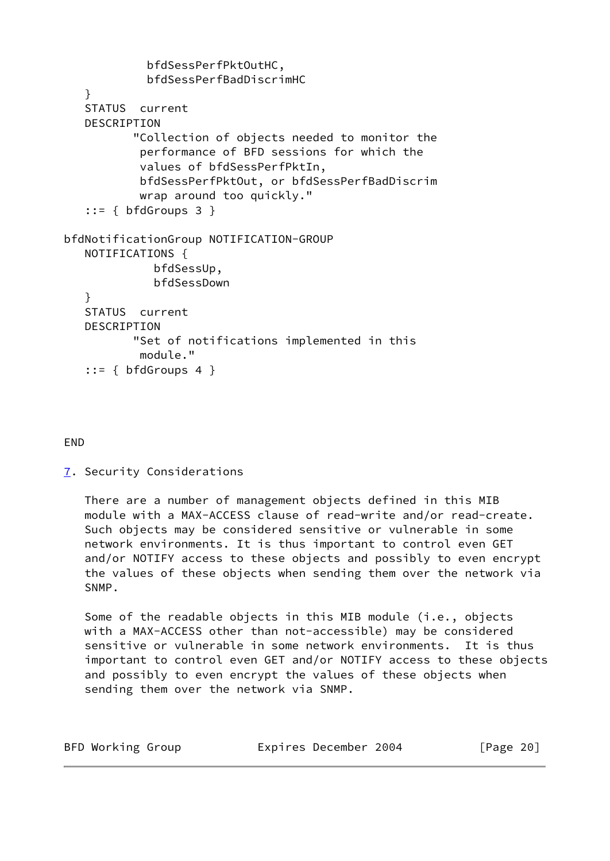```
 bfdSessPerfPktOutHC,
             bfdSessPerfBadDiscrimHC
    }
    STATUS current
    DESCRIPTION
           "Collection of objects needed to monitor the
            performance of BFD sessions for which the
            values of bfdSessPerfPktIn,
            bfdSessPerfPktOut, or bfdSessPerfBadDiscrim
            wrap around too quickly."
   ::= { bfdGroups 3 }
bfdNotificationGroup NOTIFICATION-GROUP
    NOTIFICATIONS {
              bfdSessUp,
              bfdSessDown
    }
    STATUS current
    DESCRIPTION
           "Set of notifications implemented in this
            module."
   ::= { bfdGroups 4 }
```
# END

<span id="page-23-0"></span>[7](#page-23-0). Security Considerations

 There are a number of management objects defined in this MIB module with a MAX-ACCESS clause of read-write and/or read-create. Such objects may be considered sensitive or vulnerable in some network environments. It is thus important to control even GET and/or NOTIFY access to these objects and possibly to even encrypt the values of these objects when sending them over the network via SNMP.

Some of the readable objects in this MIB module (i.e., objects with a MAX-ACCESS other than not-accessible) may be considered sensitive or vulnerable in some network environments. It is thus important to control even GET and/or NOTIFY access to these objects and possibly to even encrypt the values of these objects when sending them over the network via SNMP.

| BFD Working Group<br>Expires December 2004 | [Page 20] |
|--------------------------------------------|-----------|
|--------------------------------------------|-----------|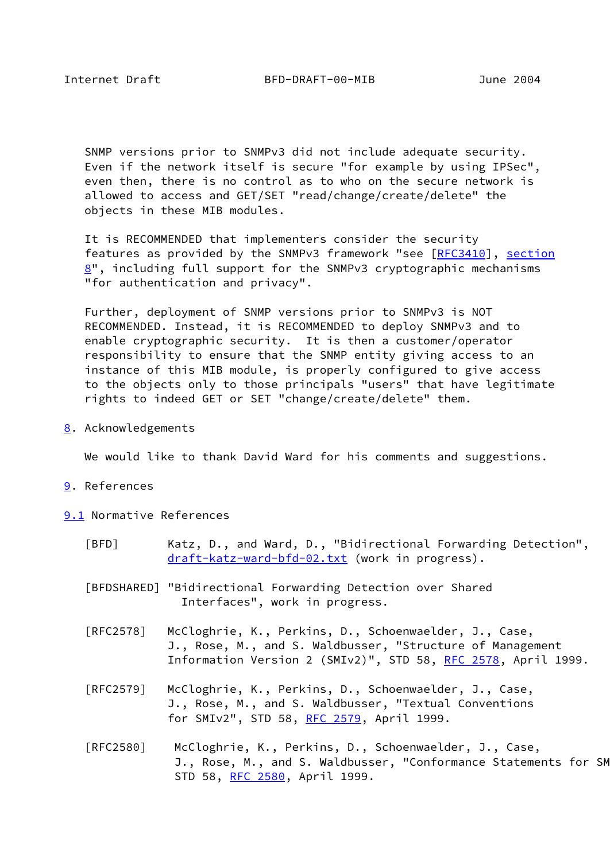<span id="page-24-2"></span> SNMP versions prior to SNMPv3 did not include adequate security. Even if the network itself is secure "for example by using IPSec", even then, there is no control as to who on the secure network is allowed to access and GET/SET "read/change/create/delete" the objects in these MIB modules.

 It is RECOMMENDED that implementers consider the security features as provided by the SNMPv3 framework "see [[RFC3410](https://datatracker.ietf.org/doc/pdf/rfc3410)], [section](#page-24-1)  $8"$  $8"$ , including full support for the SNMPv3 cryptographic mechanisms "for authentication and privacy".

 Further, deployment of SNMP versions prior to SNMPv3 is NOT RECOMMENDED. Instead, it is RECOMMENDED to deploy SNMPv3 and to enable cryptographic security. It is then a customer/operator responsibility to ensure that the SNMP entity giving access to an instance of this MIB module, is properly configured to give access to the objects only to those principals "users" that have legitimate rights to indeed GET or SET "change/create/delete" them.

<span id="page-24-1"></span>[8](#page-24-1). Acknowledgements

We would like to thank David Ward for his comments and suggestions.

- <span id="page-24-3"></span>[9](#page-24-3). References
- <span id="page-24-5"></span><span id="page-24-4"></span><span id="page-24-0"></span>[9.1](#page-24-4) Normative References
	- [BFD] Katz, D., and Ward, D., "Bidirectional Forwarding Detection", [draft-katz-ward-bfd-02.txt](https://datatracker.ietf.org/doc/pdf/draft-katz-ward-bfd-02.txt) (work in progress).
	- [BFDSHARED] "Bidirectional Forwarding Detection over Shared Interfaces", work in progress.
	- [RFC2578] McCloghrie, K., Perkins, D., Schoenwaelder, J., Case, J., Rose, M., and S. Waldbusser, "Structure of Management Information Version 2 (SMIv2)", STD 58, [RFC 2578,](https://datatracker.ietf.org/doc/pdf/rfc2578) April 1999.
	- [RFC2579] McCloghrie, K., Perkins, D., Schoenwaelder, J., Case, J., Rose, M., and S. Waldbusser, "Textual Conventions for SMIv2", STD 58, [RFC 2579](https://datatracker.ietf.org/doc/pdf/rfc2579), April 1999.
	- [RFC2580] McCloghrie, K., Perkins, D., Schoenwaelder, J., Case, J., Rose, M., and S. Waldbusser, "Conformance Statements for SM STD 58, [RFC 2580](https://datatracker.ietf.org/doc/pdf/rfc2580), April 1999.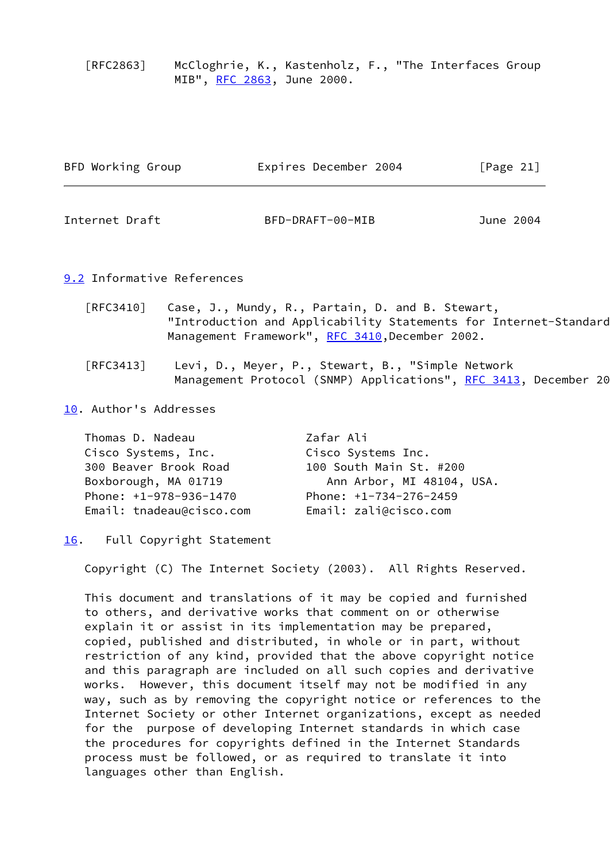[RFC2863] McCloghrie, K., Kastenholz, F., "The Interfaces Group MIB", [RFC 2863,](https://datatracker.ietf.org/doc/pdf/rfc2863) June 2000.

<span id="page-25-1"></span>

| June 2004 |
|-----------|
|           |

#### <span id="page-25-0"></span>[9.2](#page-25-0) Informative References

- [RFC3410] Case, J., Mundy, R., Partain, D. and B. Stewart, "Introduction and Applicability Statements for Internet-Standard Management Framework", [RFC 3410,](https://datatracker.ietf.org/doc/pdf/rfc3410) December 2002.
- [RFC3413] Levi, D., Meyer, P., Stewart, B., "Simple Network Management Protocol (SNMP) Applications", [RFC 3413,](https://datatracker.ietf.org/doc/pdf/rfc3413) December 20

<span id="page-25-2"></span>[10.](#page-25-2) Author's Addresses

| Zafar Ali                 |
|---------------------------|
| Cisco Systems Inc.        |
| 100 South Main St. #200   |
| Ann Arbor, MI 48104, USA. |
| Phone: $+1-734-276-2459$  |
| Email: zali@cisco.com     |
|                           |

#### <span id="page-25-3"></span>[16.](#page-25-3) Full Copyright Statement

Copyright (C) The Internet Society (2003). All Rights Reserved.

 This document and translations of it may be copied and furnished to others, and derivative works that comment on or otherwise explain it or assist in its implementation may be prepared, copied, published and distributed, in whole or in part, without restriction of any kind, provided that the above copyright notice and this paragraph are included on all such copies and derivative works. However, this document itself may not be modified in any way, such as by removing the copyright notice or references to the Internet Society or other Internet organizations, except as needed for the purpose of developing Internet standards in which case the procedures for copyrights defined in the Internet Standards process must be followed, or as required to translate it into languages other than English.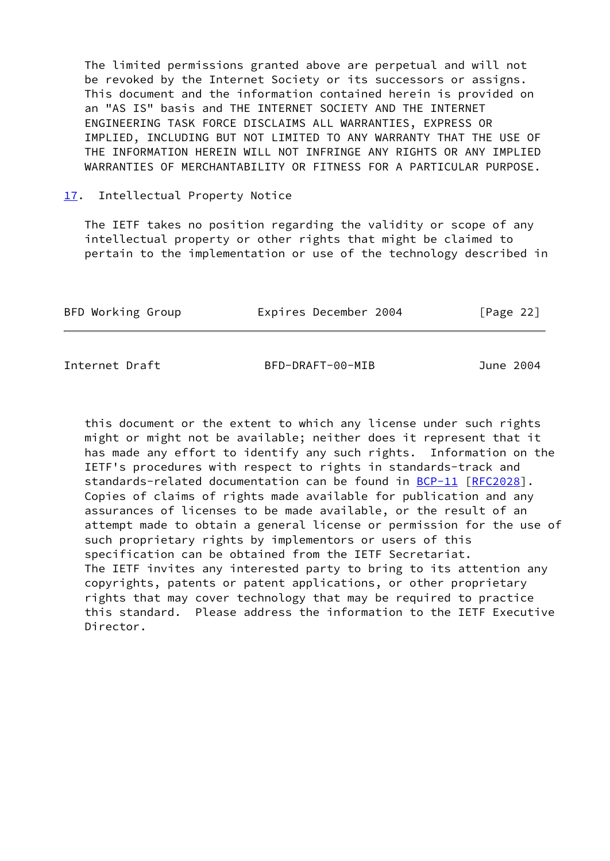The limited permissions granted above are perpetual and will not be revoked by the Internet Society or its successors or assigns. This document and the information contained herein is provided on an "AS IS" basis and THE INTERNET SOCIETY AND THE INTERNET ENGINEERING TASK FORCE DISCLAIMS ALL WARRANTIES, EXPRESS OR IMPLIED, INCLUDING BUT NOT LIMITED TO ANY WARRANTY THAT THE USE OF THE INFORMATION HEREIN WILL NOT INFRINGE ANY RIGHTS OR ANY IMPLIED WARRANTIES OF MERCHANTABILITY OR FITNESS FOR A PARTICULAR PURPOSE.

#### <span id="page-26-1"></span>[17.](#page-26-1) Intellectual Property Notice

 The IETF takes no position regarding the validity or scope of any intellectual property or other rights that might be claimed to pertain to the implementation or use of the technology described in

| BFD Working Group | Expires December 2004 | [Page 22] |
|-------------------|-----------------------|-----------|
|                   |                       |           |

<span id="page-26-0"></span>Internet Draft BFD-DRAFT-00-MIB June 2004

 this document or the extent to which any license under such rights might or might not be available; neither does it represent that it has made any effort to identify any such rights. Information on the IETF's procedures with respect to rights in standards-track and standards-related documentation can be found in [BCP-11](https://datatracker.ietf.org/doc/pdf/bcp11) [\[RFC2028](https://datatracker.ietf.org/doc/pdf/rfc2028)]. Copies of claims of rights made available for publication and any assurances of licenses to be made available, or the result of an attempt made to obtain a general license or permission for the use of such proprietary rights by implementors or users of this specification can be obtained from the IETF Secretariat. The IETF invites any interested party to bring to its attention any copyrights, patents or patent applications, or other proprietary rights that may cover technology that may be required to practice this standard. Please address the information to the IETF Executive Director.